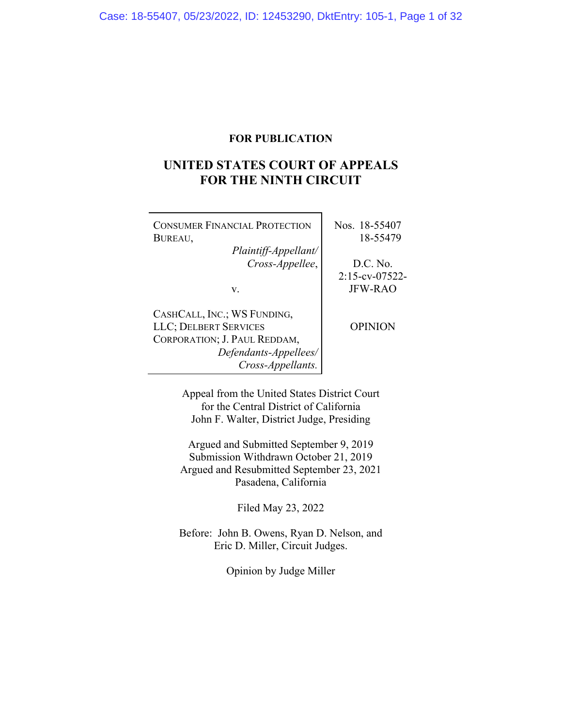## **FOR PUBLICATION**

# **UNITED STATES COURT OF APPEALS FOR THE NINTH CIRCUIT**

| <b>CONSUMER FINANCIAL PROTECTION</b><br>BUREAU,<br>Plaintiff-Appellant/                                                            | Nos. 18-55407<br>18-55479 |
|------------------------------------------------------------------------------------------------------------------------------------|---------------------------|
| Cross-Appellee,                                                                                                                    | $D.C.$ No.                |
|                                                                                                                                    | $2:15$ -cv-07522-         |
| v.                                                                                                                                 | <b>IFW-RAO</b>            |
| CASHCALL, INC.; WS FUNDING,<br>LLC; DELBERT SERVICES<br>CORPORATION; J. PAUL REDDAM,<br>Defendants-Appellees/<br>Cross-Appellants. | <b>OPINION</b>            |

Appeal from the United States District Court for the Central District of California John F. Walter, District Judge, Presiding

Argued and Submitted September 9, 2019 Submission Withdrawn October 21, 2019 Argued and Resubmitted September 23, 2021 Pasadena, California

Filed May 23, 2022

Before: John B. Owens, Ryan D. Nelson, and Eric D. Miller, Circuit Judges.

Opinion by Judge Miller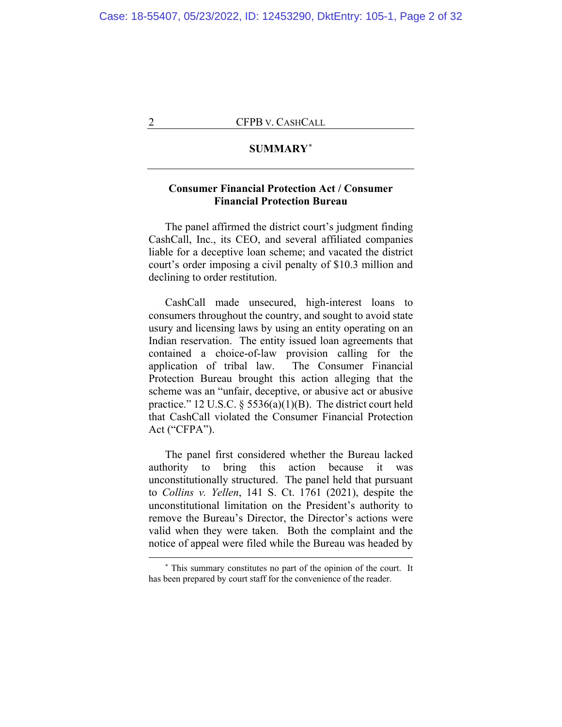## **SUMMARY[\\*](#page-1-0)**

## **Consumer Financial Protection Act / Consumer Financial Protection Bureau**

The panel affirmed the district court's judgment finding CashCall, Inc., its CEO, and several affiliated companies liable for a deceptive loan scheme; and vacated the district court's order imposing a civil penalty of \$10.3 million and declining to order restitution.

CashCall made unsecured, high-interest loans to consumers throughout the country, and sought to avoid state usury and licensing laws by using an entity operating on an Indian reservation. The entity issued loan agreements that contained a choice-of-law provision calling for the application of tribal law. The Consumer Financial Protection Bureau brought this action alleging that the scheme was an "unfair, deceptive, or abusive act or abusive practice." 12 U.S.C. § 5536(a)(1)(B). The district court held that CashCall violated the Consumer Financial Protection Act ("CFPA").

The panel first considered whether the Bureau lacked authority to bring this action because it was unconstitutionally structured. The panel held that pursuant to *Collins v. Yellen*, 141 S. Ct. 1761 (2021), despite the unconstitutional limitation on the President's authority to remove the Bureau's Director, the Director's actions were valid when they were taken. Both the complaint and the notice of appeal were filed while the Bureau was headed by

<span id="page-1-0"></span>**<sup>\*</sup>** This summary constitutes no part of the opinion of the court. It has been prepared by court staff for the convenience of the reader.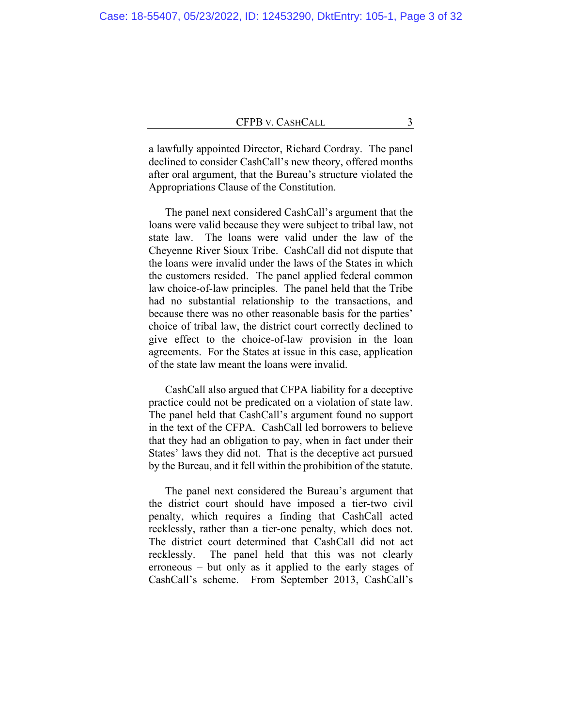a lawfully appointed Director, Richard Cordray. The panel declined to consider CashCall's new theory, offered months after oral argument, that the Bureau's structure violated the Appropriations Clause of the Constitution.

The panel next considered CashCall's argument that the loans were valid because they were subject to tribal law, not state law. The loans were valid under the law of the Cheyenne River Sioux Tribe. CashCall did not dispute that the loans were invalid under the laws of the States in which the customers resided. The panel applied federal common law choice-of-law principles. The panel held that the Tribe had no substantial relationship to the transactions, and because there was no other reasonable basis for the parties' choice of tribal law, the district court correctly declined to give effect to the choice-of-law provision in the loan agreements. For the States at issue in this case, application of the state law meant the loans were invalid.

CashCall also argued that CFPA liability for a deceptive practice could not be predicated on a violation of state law. The panel held that CashCall's argument found no support in the text of the CFPA. CashCall led borrowers to believe that they had an obligation to pay, when in fact under their States' laws they did not. That is the deceptive act pursued by the Bureau, and it fell within the prohibition of the statute.

The panel next considered the Bureau's argument that the district court should have imposed a tier-two civil penalty, which requires a finding that CashCall acted recklessly, rather than a tier-one penalty, which does not. The district court determined that CashCall did not act recklessly. The panel held that this was not clearly erroneous – but only as it applied to the early stages of CashCall's scheme. From September 2013, CashCall's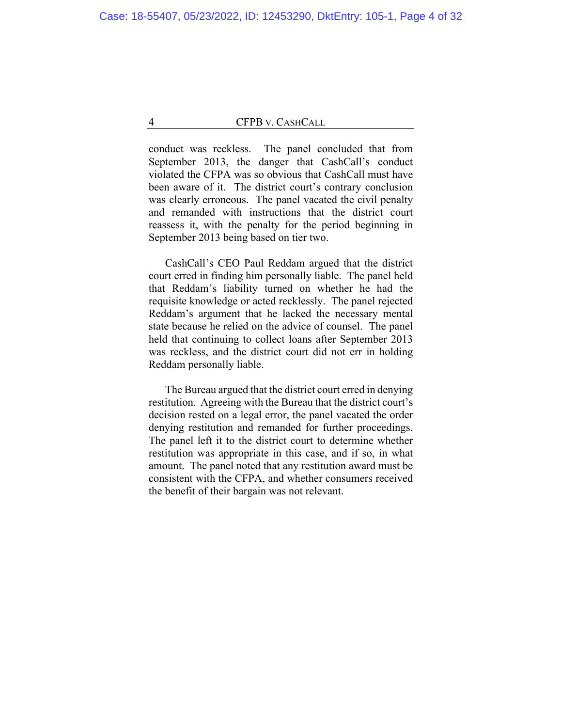conduct was reckless. The panel concluded that from September 2013, the danger that CashCall's conduct violated the CFPA was so obvious that CashCall must have been aware of it. The district court's contrary conclusion was clearly erroneous. The panel vacated the civil penalty and remanded with instructions that the district court reassess it, with the penalty for the period beginning in September 2013 being based on tier two.

CashCall's CEO Paul Reddam argued that the district court erred in finding him personally liable. The panel held that Reddam's liability turned on whether he had the requisite knowledge or acted recklessly. The panel rejected Reddam's argument that he lacked the necessary mental state because he relied on the advice of counsel. The panel held that continuing to collect loans after September 2013 was reckless, and the district court did not err in holding Reddam personally liable.

The Bureau argued that the district court erred in denying restitution. Agreeing with the Bureau that the district court's decision rested on a legal error, the panel vacated the order denying restitution and remanded for further proceedings. The panel left it to the district court to determine whether restitution was appropriate in this case, and if so, in what amount. The panel noted that any restitution award must be consistent with the CFPA, and whether consumers received the benefit of their bargain was not relevant.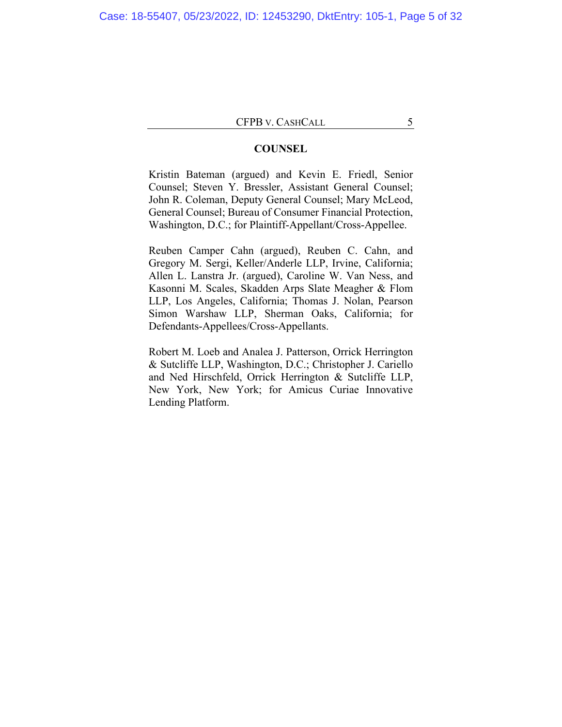## **COUNSEL**

Kristin Bateman (argued) and Kevin E. Friedl, Senior Counsel; Steven Y. Bressler, Assistant General Counsel; John R. Coleman, Deputy General Counsel; Mary McLeod, General Counsel; Bureau of Consumer Financial Protection, Washington, D.C.; for Plaintiff-Appellant/Cross-Appellee.

Reuben Camper Cahn (argued), Reuben C. Cahn, and Gregory M. Sergi, Keller/Anderle LLP, Irvine, California; Allen L. Lanstra Jr. (argued), Caroline W. Van Ness, and Kasonni M. Scales, Skadden Arps Slate Meagher & Flom LLP, Los Angeles, California; Thomas J. Nolan, Pearson Simon Warshaw LLP, Sherman Oaks, California; for Defendants-Appellees/Cross-Appellants.

Robert M. Loeb and Analea J. Patterson, Orrick Herrington & Sutcliffe LLP, Washington, D.C.; Christopher J. Cariello and Ned Hirschfeld, Orrick Herrington & Sutcliffe LLP, New York, New York; for Amicus Curiae Innovative Lending Platform.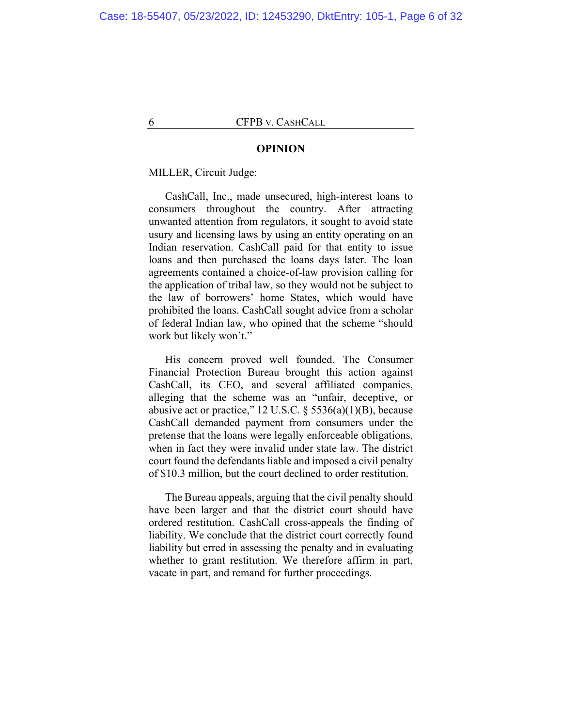#### **OPINION**

MILLER, Circuit Judge:

CashCall, Inc., made unsecured, high-interest loans to consumers throughout the country. After attracting unwanted attention from regulators, it sought to avoid state usury and licensing laws by using an entity operating on an Indian reservation. CashCall paid for that entity to issue loans and then purchased the loans days later. The loan agreements contained a choice-of-law provision calling for the application of tribal law, so they would not be subject to the law of borrowers' home States, which would have prohibited the loans. CashCall sought advice from a scholar of federal Indian law, who opined that the scheme "should work but likely won't."

His concern proved well founded. The Consumer Financial Protection Bureau brought this action against CashCall, its CEO, and several affiliated companies, alleging that the scheme was an "unfair, deceptive, or abusive act or practice," 12 U.S.C.  $\S$  5536(a)(1)(B), because CashCall demanded payment from consumers under the pretense that the loans were legally enforceable obligations, when in fact they were invalid under state law. The district court found the defendants liable and imposed a civil penalty of \$10.3 million, but the court declined to order restitution.

The Bureau appeals, arguing that the civil penalty should have been larger and that the district court should have ordered restitution. CashCall cross-appeals the finding of liability. We conclude that the district court correctly found liability but erred in assessing the penalty and in evaluating whether to grant restitution. We therefore affirm in part, vacate in part, and remand for further proceedings.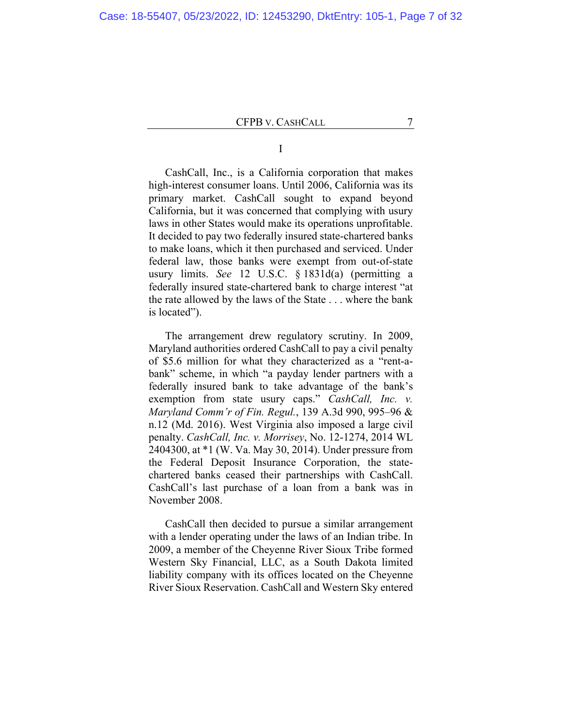I

CashCall, Inc., is a California corporation that makes high-interest consumer loans. Until 2006, California was its primary market. CashCall sought to expand beyond California, but it was concerned that complying with usury laws in other States would make its operations unprofitable. It decided to pay two federally insured state-chartered banks to make loans, which it then purchased and serviced. Under federal law, those banks were exempt from out-of-state usury limits. *See* 12 U.S.C. § 1831d(a) (permitting a federally insured state-chartered bank to charge interest "at the rate allowed by the laws of the State . . . where the bank is located").

The arrangement drew regulatory scrutiny. In 2009, Maryland authorities ordered CashCall to pay a civil penalty of \$5.6 million for what they characterized as a "rent-abank" scheme, in which "a payday lender partners with a federally insured bank to take advantage of the bank's exemption from state usury caps." *CashCall, Inc. v. Maryland Comm'r of Fin. Regul.*, 139 A.3d 990, 995–96 & n.12 (Md. 2016). West Virginia also imposed a large civil penalty. *CashCall, Inc. v. Morrisey*, No. 12-1274, 2014 WL 2404300, at \*1 (W. Va. May 30, 2014). Under pressure from the Federal Deposit Insurance Corporation, the statechartered banks ceased their partnerships with CashCall. CashCall's last purchase of a loan from a bank was in November 2008.

CashCall then decided to pursue a similar arrangement with a lender operating under the laws of an Indian tribe. In 2009, a member of the Cheyenne River Sioux Tribe formed Western Sky Financial, LLC, as a South Dakota limited liability company with its offices located on the Cheyenne River Sioux Reservation. CashCall and Western Sky entered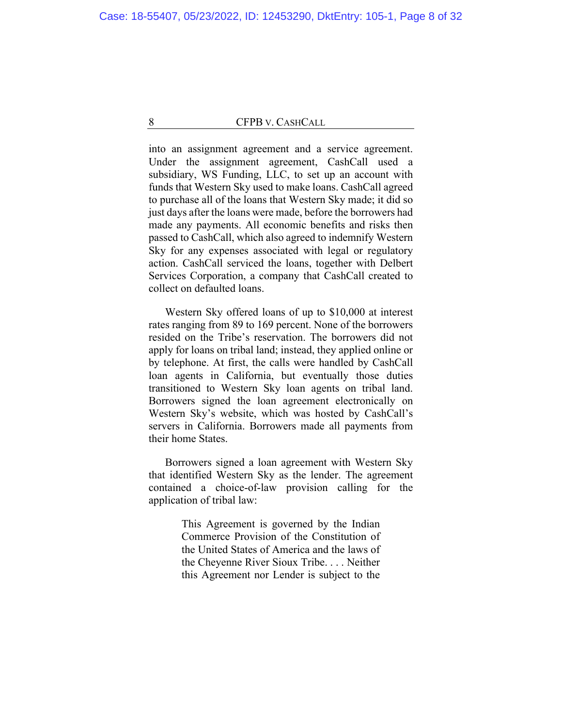into an assignment agreement and a service agreement. Under the assignment agreement, CashCall used a subsidiary, WS Funding, LLC, to set up an account with funds that Western Sky used to make loans. CashCall agreed to purchase all of the loans that Western Sky made; it did so just days after the loans were made, before the borrowers had made any payments. All economic benefits and risks then passed to CashCall, which also agreed to indemnify Western Sky for any expenses associated with legal or regulatory action. CashCall serviced the loans, together with Delbert Services Corporation, a company that CashCall created to collect on defaulted loans.

Western Sky offered loans of up to \$10,000 at interest rates ranging from 89 to 169 percent. None of the borrowers resided on the Tribe's reservation. The borrowers did not apply for loans on tribal land; instead, they applied online or by telephone. At first, the calls were handled by CashCall loan agents in California, but eventually those duties transitioned to Western Sky loan agents on tribal land. Borrowers signed the loan agreement electronically on Western Sky's website, which was hosted by CashCall's servers in California. Borrowers made all payments from their home States.

Borrowers signed a loan agreement with Western Sky that identified Western Sky as the lender. The agreement contained a choice-of-law provision calling for the application of tribal law:

> This Agreement is governed by the Indian Commerce Provision of the Constitution of the United States of America and the laws of the Cheyenne River Sioux Tribe. . . . Neither this Agreement nor Lender is subject to the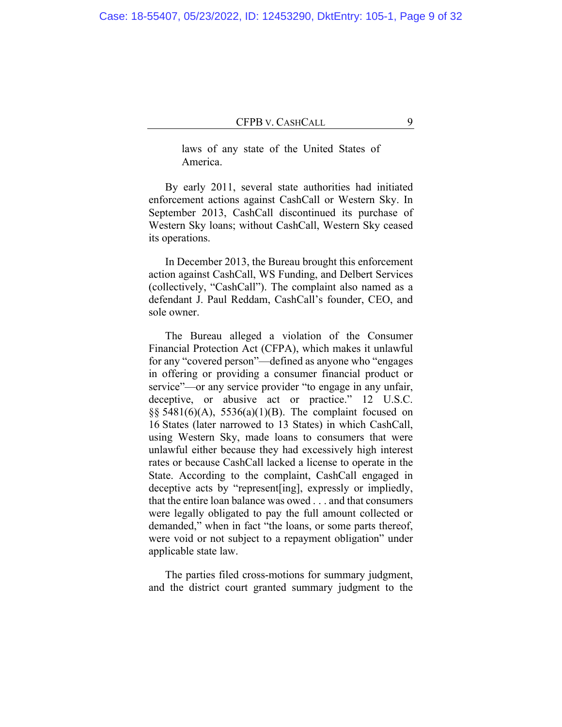Case: 18-55407, 05/23/2022, ID: 12453290, DktEntry: 105-1, Page 9 of 32

### CFPB V. CASHCALL 9

laws of any state of the United States of America.

By early 2011, several state authorities had initiated enforcement actions against CashCall or Western Sky. In September 2013, CashCall discontinued its purchase of Western Sky loans; without CashCall, Western Sky ceased its operations.

In December 2013, the Bureau brought this enforcement action against CashCall, WS Funding, and Delbert Services (collectively, "CashCall"). The complaint also named as a defendant J. Paul Reddam, CashCall's founder, CEO, and sole owner.

The Bureau alleged a violation of the Consumer Financial Protection Act (CFPA), which makes it unlawful for any "covered person"—defined as anyone who "engages in offering or providing a consumer financial product or service"—or any service provider "to engage in any unfair, deceptive, or abusive act or practice." 12 U.S.C. §§ 5481(6)(A), 5536(a)(1)(B). The complaint focused on 16 States (later narrowed to 13 States) in which CashCall, using Western Sky, made loans to consumers that were unlawful either because they had excessively high interest rates or because CashCall lacked a license to operate in the State. According to the complaint, CashCall engaged in deceptive acts by "represent[ing], expressly or impliedly, that the entire loan balance was owed . . . and that consumers were legally obligated to pay the full amount collected or demanded," when in fact "the loans, or some parts thereof, were void or not subject to a repayment obligation" under applicable state law.

The parties filed cross-motions for summary judgment, and the district court granted summary judgment to the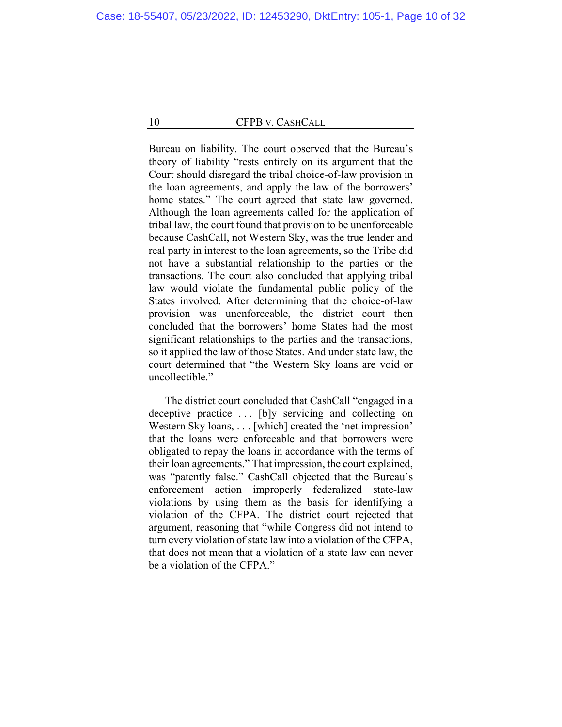Bureau on liability. The court observed that the Bureau's theory of liability "rests entirely on its argument that the Court should disregard the tribal choice-of-law provision in the loan agreements, and apply the law of the borrowers' home states." The court agreed that state law governed. Although the loan agreements called for the application of tribal law, the court found that provision to be unenforceable because CashCall, not Western Sky, was the true lender and real party in interest to the loan agreements, so the Tribe did not have a substantial relationship to the parties or the transactions. The court also concluded that applying tribal law would violate the fundamental public policy of the States involved. After determining that the choice-of-law provision was unenforceable, the district court then concluded that the borrowers' home States had the most significant relationships to the parties and the transactions, so it applied the law of those States. And under state law, the court determined that "the Western Sky loans are void or uncollectible."

The district court concluded that CashCall "engaged in a deceptive practice ... [b]y servicing and collecting on Western Sky loans, . . . [which] created the 'net impression' that the loans were enforceable and that borrowers were obligated to repay the loans in accordance with the terms of their loan agreements." That impression, the court explained, was "patently false." CashCall objected that the Bureau's enforcement action improperly federalized state-law violations by using them as the basis for identifying a violation of the CFPA. The district court rejected that argument, reasoning that "while Congress did not intend to turn every violation of state law into a violation of the CFPA, that does not mean that a violation of a state law can never be a violation of the CFPA."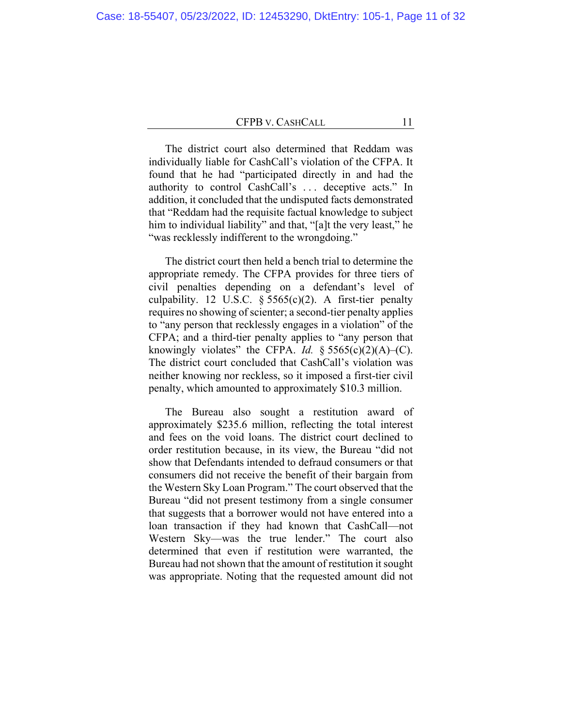The district court also determined that Reddam was individually liable for CashCall's violation of the CFPA. It found that he had "participated directly in and had the authority to control CashCall's . . . deceptive acts." In addition, it concluded that the undisputed facts demonstrated that "Reddam had the requisite factual knowledge to subject him to individual liability" and that, "[a]t the very least," he "was recklessly indifferent to the wrongdoing."

The district court then held a bench trial to determine the appropriate remedy. The CFPA provides for three tiers of civil penalties depending on a defendant's level of culpability. 12 U.S.C.  $\S 5565(c)(2)$ . A first-tier penalty requires no showing of scienter; a second-tier penalty applies to "any person that recklessly engages in a violation" of the CFPA; and a third-tier penalty applies to "any person that knowingly violates" the CFPA. *Id.*  $\frac{6}{5}$  5565(c)(2)(A)–(C). The district court concluded that CashCall's violation was neither knowing nor reckless, so it imposed a first-tier civil penalty, which amounted to approximately \$10.3 million.

The Bureau also sought a restitution award of approximately \$235.6 million, reflecting the total interest and fees on the void loans. The district court declined to order restitution because, in its view, the Bureau "did not show that Defendants intended to defraud consumers or that consumers did not receive the benefit of their bargain from the Western Sky Loan Program." The court observed that the Bureau "did not present testimony from a single consumer that suggests that a borrower would not have entered into a loan transaction if they had known that CashCall—not Western Sky—was the true lender." The court also determined that even if restitution were warranted, the Bureau had not shown that the amount of restitution it sought was appropriate. Noting that the requested amount did not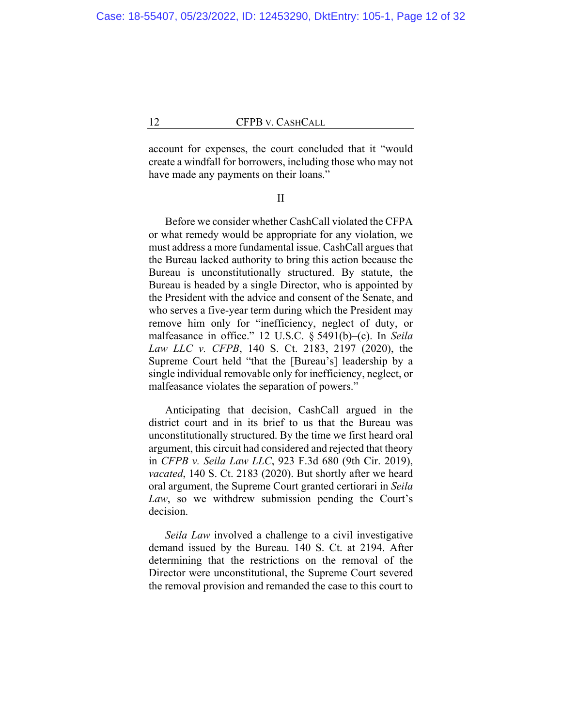account for expenses, the court concluded that it "would create a windfall for borrowers, including those who may not have made any payments on their loans."

II

Before we consider whether CashCall violated the CFPA or what remedy would be appropriate for any violation, we must address a more fundamental issue. CashCall argues that the Bureau lacked authority to bring this action because the Bureau is unconstitutionally structured. By statute, the Bureau is headed by a single Director, who is appointed by the President with the advice and consent of the Senate, and who serves a five-year term during which the President may remove him only for "inefficiency, neglect of duty, or malfeasance in office." 12 U.S.C. § 5491(b)–(c). In *Seila Law LLC v. CFPB*, 140 S. Ct. 2183, 2197 (2020), the Supreme Court held "that the [Bureau's] leadership by a single individual removable only for inefficiency, neglect, or malfeasance violates the separation of powers."

Anticipating that decision, CashCall argued in the district court and in its brief to us that the Bureau was unconstitutionally structured. By the time we first heard oral argument, this circuit had considered and rejected that theory in *CFPB v. Seila Law LLC*, 923 F.3d 680 (9th Cir. 2019), *vacated*, 140 S. Ct. 2183 (2020). But shortly after we heard oral argument, the Supreme Court granted certiorari in *Seila Law*, so we withdrew submission pending the Court's decision.

*Seila Law* involved a challenge to a civil investigative demand issued by the Bureau. 140 S. Ct. at 2194. After determining that the restrictions on the removal of the Director were unconstitutional, the Supreme Court severed the removal provision and remanded the case to this court to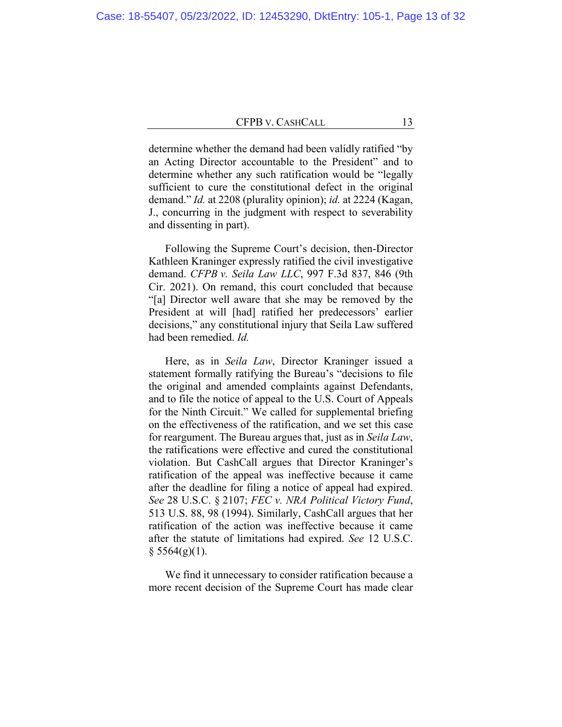determine whether the demand had been validly ratified "by an Acting Director accountable to the President" and to determine whether any such ratification would be "legally sufficient to cure the constitutional defect in the original demand." *Id.* at 2208 (plurality opinion); *id.* at 2224 (Kagan, J., concurring in the judgment with respect to severability and dissenting in part).

Following the Supreme Court's decision, then-Director Kathleen Kraninger expressly ratified the civil investigative demand. *CFPB v. Seila Law LLC*, 997 F.3d 837, 846 (9th Cir. 2021). On remand, this court concluded that because "[a] Director well aware that she may be removed by the President at will [had] ratified her predecessors' earlier decisions," any constitutional injury that Seila Law suffered had been remedied. *Id.*

Here, as in *Seila Law*, Director Kraninger issued a statement formally ratifying the Bureau's "decisions to file the original and amended complaints against Defendants, and to file the notice of appeal to the U.S. Court of Appeals for the Ninth Circuit." We called for supplemental briefing on the effectiveness of the ratification, and we set this case for reargument. The Bureau argues that, just as in *Seila Law*, the ratifications were effective and cured the constitutional violation. But CashCall argues that Director Kraninger's ratification of the appeal was ineffective because it came after the deadline for filing a notice of appeal had expired. *See* 28 U.S.C. § 2107; *FEC v. NRA Political Victory Fund*, 513 U.S. 88, 98 (1994). Similarly, CashCall argues that her ratification of the action was ineffective because it came after the statute of limitations had expired. *See* 12 U.S.C.  $§ 5564(g)(1).$ 

We find it unnecessary to consider ratification because a more recent decision of the Supreme Court has made clear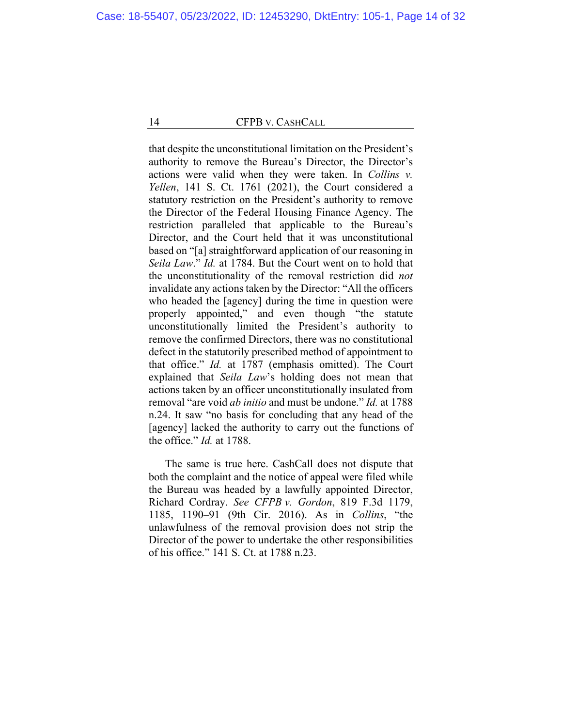that despite the unconstitutional limitation on the President's authority to remove the Bureau's Director, the Director's actions were valid when they were taken. In *Collins v. Yellen*, 141 S. Ct. 1761 (2021), the Court considered a statutory restriction on the President's authority to remove the Director of the Federal Housing Finance Agency. The restriction paralleled that applicable to the Bureau's Director, and the Court held that it was unconstitutional based on "[a] straightforward application of our reasoning in *Seila Law*." *Id.* at 1784. But the Court went on to hold that the unconstitutionality of the removal restriction did *not* invalidate any actions taken by the Director: "All the officers who headed the [agency] during the time in question were properly appointed," and even though "the statute unconstitutionally limited the President's authority to remove the confirmed Directors, there was no constitutional defect in the statutorily prescribed method of appointment to that office." *Id.* at 1787 (emphasis omitted). The Court explained that *Seila Law*'s holding does not mean that actions taken by an officer unconstitutionally insulated from removal "are void *ab initio* and must be undone." *Id.* at 1788 n.24. It saw "no basis for concluding that any head of the [agency] lacked the authority to carry out the functions of the office." *Id.* at 1788.

The same is true here. CashCall does not dispute that both the complaint and the notice of appeal were filed while the Bureau was headed by a lawfully appointed Director, Richard Cordray. *See CFPB v. Gordon*, 819 F.3d 1179, 1185, 1190–91 (9th Cir. 2016). As in *Collins*, "the unlawfulness of the removal provision does not strip the Director of the power to undertake the other responsibilities of his office." 141 S. Ct. at 1788 n.23.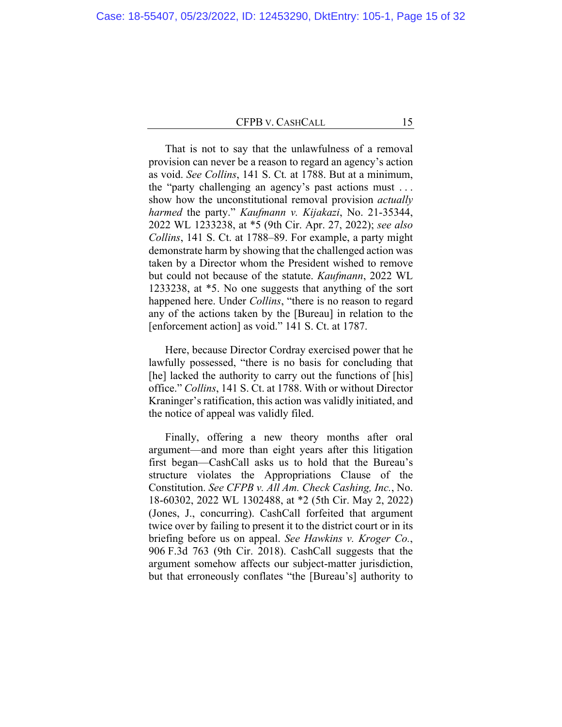That is not to say that the unlawfulness of a removal provision can never be a reason to regard an agency's action as void. *See Collins*, 141 S. Ct*.* at 1788. But at a minimum, the "party challenging an agency's past actions must . . . show how the unconstitutional removal provision *actually harmed* the party." *Kaufmann v. Kijakazi*, No. 21-35344, 2022 WL 1233238, at \*5 (9th Cir. Apr. 27, 2022); *see also Collins*, 141 S. Ct. at 1788–89. For example, a party might demonstrate harm by showing that the challenged action was taken by a Director whom the President wished to remove but could not because of the statute. *Kaufmann*, 2022 WL 1233238, at \*5. No one suggests that anything of the sort happened here. Under *Collins*, "there is no reason to regard any of the actions taken by the [Bureau] in relation to the [enforcement action] as void." 141 S. Ct. at 1787.

Here, because Director Cordray exercised power that he lawfully possessed, "there is no basis for concluding that [he] lacked the authority to carry out the functions of [his] office." *Collins*, 141 S. Ct. at 1788. With or without Director Kraninger's ratification, this action was validly initiated, and the notice of appeal was validly filed.

Finally, offering a new theory months after oral argument—and more than eight years after this litigation first began—CashCall asks us to hold that the Bureau's structure violates the Appropriations Clause of the Constitution. *See CFPB v. All Am. Check Cashing, Inc.*, No. 18-60302, 2022 WL 1302488, at \*2 (5th Cir. May 2, 2022) (Jones, J., concurring). CashCall forfeited that argument twice over by failing to present it to the district court or in its briefing before us on appeal. *See Hawkins v. Kroger Co.*, 906 F.3d 763 (9th Cir. 2018). CashCall suggests that the argument somehow affects our subject-matter jurisdiction, but that erroneously conflates "the [Bureau's] authority to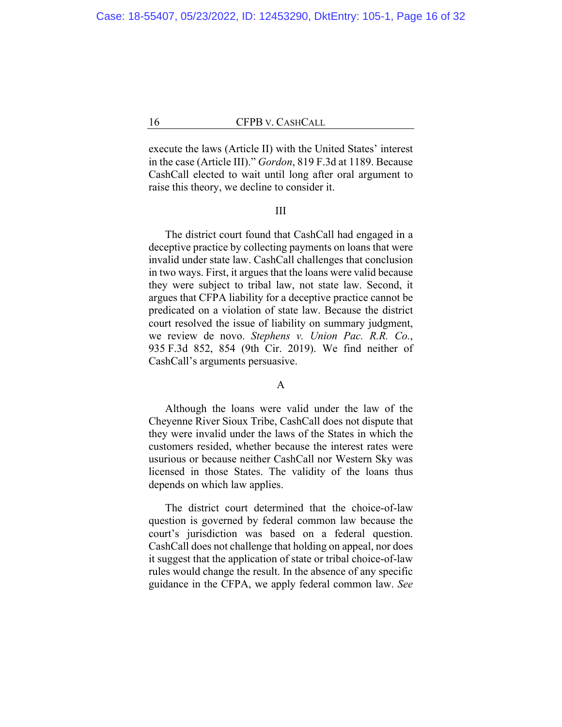execute the laws (Article II) with the United States' interest in the case (Article III)." *Gordon*, 819 F.3d at 1189. Because CashCall elected to wait until long after oral argument to raise this theory, we decline to consider it.

### III

The district court found that CashCall had engaged in a deceptive practice by collecting payments on loans that were invalid under state law. CashCall challenges that conclusion in two ways. First, it argues that the loans were valid because they were subject to tribal law, not state law. Second, it argues that CFPA liability for a deceptive practice cannot be predicated on a violation of state law. Because the district court resolved the issue of liability on summary judgment, we review de novo. *Stephens v. Union Pac. R.R. Co.*, 935 F.3d 852, 854 (9th Cir. 2019). We find neither of CashCall's arguments persuasive.

#### A

Although the loans were valid under the law of the Cheyenne River Sioux Tribe, CashCall does not dispute that they were invalid under the laws of the States in which the customers resided, whether because the interest rates were usurious or because neither CashCall nor Western Sky was licensed in those States. The validity of the loans thus depends on which law applies.

The district court determined that the choice-of-law question is governed by federal common law because the court's jurisdiction was based on a federal question. CashCall does not challenge that holding on appeal, nor does it suggest that the application of state or tribal choice-of-law rules would change the result. In the absence of any specific guidance in the CFPA, we apply federal common law. *See*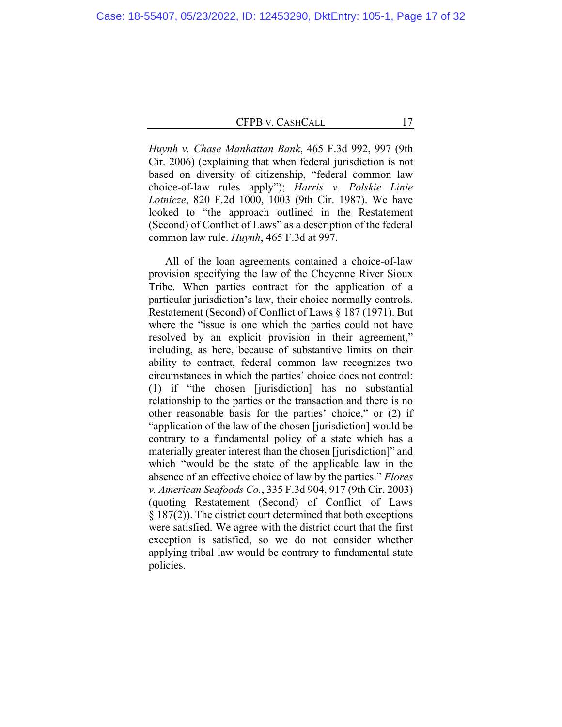*Huynh v. Chase Manhattan Bank*, 465 F.3d 992, 997 (9th Cir. 2006) (explaining that when federal jurisdiction is not based on diversity of citizenship, "federal common law choice-of-law rules apply"); *Harris v. Polskie Linie Lotnicze*, 820 F.2d 1000, 1003 (9th Cir. 1987). We have looked to "the approach outlined in the Restatement (Second) of Conflict of Laws" as a description of the federal common law rule. *Huynh*, 465 F.3d at 997.

All of the loan agreements contained a choice-of-law provision specifying the law of the Cheyenne River Sioux Tribe. When parties contract for the application of a particular jurisdiction's law, their choice normally controls. Restatement (Second) of Conflict of Laws § 187 (1971). But where the "issue is one which the parties could not have resolved by an explicit provision in their agreement," including, as here, because of substantive limits on their ability to contract, federal common law recognizes two circumstances in which the parties' choice does not control: (1) if "the chosen [jurisdiction] has no substantial relationship to the parties or the transaction and there is no other reasonable basis for the parties' choice," or (2) if "application of the law of the chosen [jurisdiction] would be contrary to a fundamental policy of a state which has a materially greater interest than the chosen [jurisdiction]" and which "would be the state of the applicable law in the absence of an effective choice of law by the parties." *Flores v. American Seafoods Co.*, 335 F.3d 904, 917 (9th Cir. 2003) (quoting Restatement (Second) of Conflict of Laws § 187(2)). The district court determined that both exceptions were satisfied. We agree with the district court that the first exception is satisfied, so we do not consider whether applying tribal law would be contrary to fundamental state policies.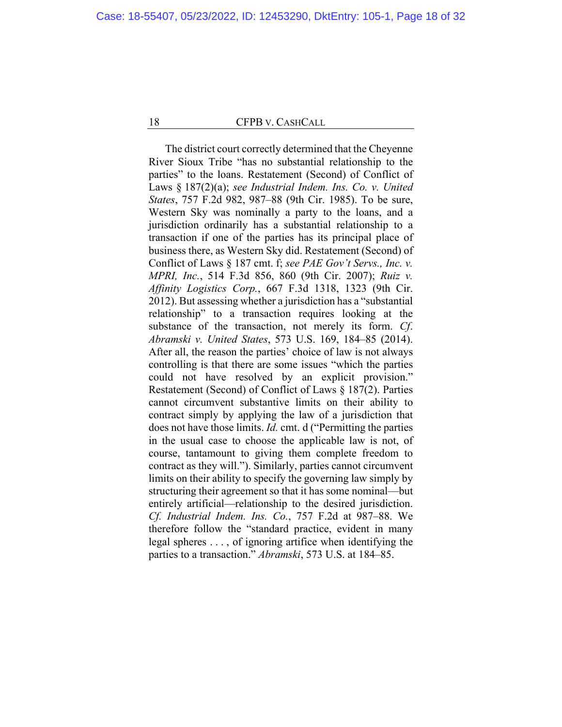The district court correctly determined that the Cheyenne River Sioux Tribe "has no substantial relationship to the parties" to the loans. Restatement (Second) of Conflict of Laws § 187(2)(a); *see Industrial Indem. Ins. Co. v. United States*, 757 F.2d 982, 987–88 (9th Cir. 1985). To be sure, Western Sky was nominally a party to the loans, and a jurisdiction ordinarily has a substantial relationship to a transaction if one of the parties has its principal place of business there, as Western Sky did. Restatement (Second) of Conflict of Laws § 187 cmt. f; *see PAE Gov't Servs., Inc. v. MPRI, Inc.*, 514 F.3d 856, 860 (9th Cir. 2007); *Ruiz v. Affinity Logistics Corp.*, 667 F.3d 1318, 1323 (9th Cir. 2012). But assessing whether a jurisdiction has a "substantial relationship" to a transaction requires looking at the substance of the transaction, not merely its form. *Cf*. *Abramski v. United States*, 573 U.S. 169, 184–85 (2014). After all, the reason the parties' choice of law is not always controlling is that there are some issues "which the parties could not have resolved by an explicit provision." Restatement (Second) of Conflict of Laws § 187(2). Parties cannot circumvent substantive limits on their ability to contract simply by applying the law of a jurisdiction that does not have those limits. *Id.* cmt. d ("Permitting the parties in the usual case to choose the applicable law is not, of course, tantamount to giving them complete freedom to contract as they will."). Similarly, parties cannot circumvent limits on their ability to specify the governing law simply by structuring their agreement so that it has some nominal—but entirely artificial—relationship to the desired jurisdiction. *Cf. Industrial Indem. Ins. Co.*, 757 F.2d at 987–88. We therefore follow the "standard practice, evident in many legal spheres . . . , of ignoring artifice when identifying the parties to a transaction." *Abramski*, 573 U.S. at 184–85.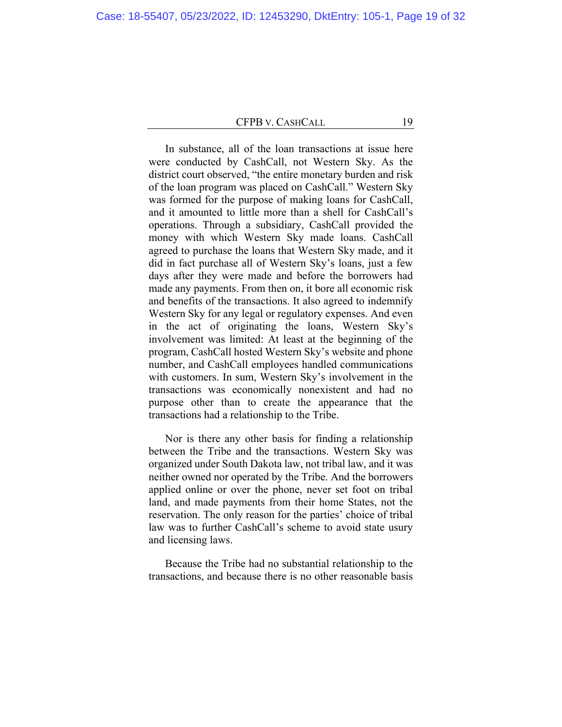In substance, all of the loan transactions at issue here were conducted by CashCall, not Western Sky. As the district court observed, "the entire monetary burden and risk of the loan program was placed on CashCall." Western Sky was formed for the purpose of making loans for CashCall, and it amounted to little more than a shell for CashCall's operations. Through a subsidiary, CashCall provided the money with which Western Sky made loans. CashCall agreed to purchase the loans that Western Sky made, and it did in fact purchase all of Western Sky's loans, just a few days after they were made and before the borrowers had made any payments. From then on, it bore all economic risk and benefits of the transactions. It also agreed to indemnify Western Sky for any legal or regulatory expenses. And even in the act of originating the loans, Western Sky's involvement was limited: At least at the beginning of the program, CashCall hosted Western Sky's website and phone number, and CashCall employees handled communications with customers. In sum, Western Sky's involvement in the transactions was economically nonexistent and had no purpose other than to create the appearance that the transactions had a relationship to the Tribe.

Nor is there any other basis for finding a relationship between the Tribe and the transactions. Western Sky was organized under South Dakota law, not tribal law, and it was neither owned nor operated by the Tribe. And the borrowers applied online or over the phone, never set foot on tribal land, and made payments from their home States, not the reservation. The only reason for the parties' choice of tribal law was to further CashCall's scheme to avoid state usury and licensing laws.

Because the Tribe had no substantial relationship to the transactions, and because there is no other reasonable basis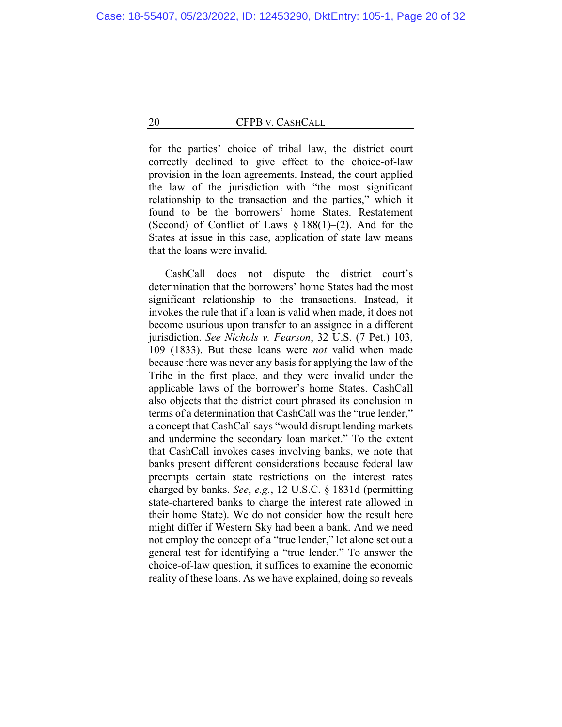for the parties' choice of tribal law, the district court correctly declined to give effect to the choice-of-law provision in the loan agreements. Instead, the court applied the law of the jurisdiction with "the most significant relationship to the transaction and the parties," which it found to be the borrowers' home States. Restatement (Second) of Conflict of Laws  $\S 188(1)$ –(2). And for the States at issue in this case, application of state law means that the loans were invalid.

CashCall does not dispute the district court's determination that the borrowers' home States had the most significant relationship to the transactions. Instead, it invokes the rule that if a loan is valid when made, it does not become usurious upon transfer to an assignee in a different jurisdiction. *See Nichols v. Fearson*, 32 U.S. (7 Pet.) 103, 109 (1833). But these loans were *not* valid when made because there was never any basis for applying the law of the Tribe in the first place, and they were invalid under the applicable laws of the borrower's home States. CashCall also objects that the district court phrased its conclusion in terms of a determination that CashCall was the "true lender," a concept that CashCall says "would disrupt lending markets and undermine the secondary loan market." To the extent that CashCall invokes cases involving banks, we note that banks present different considerations because federal law preempts certain state restrictions on the interest rates charged by banks. *See*, *e.g.*, 12 U.S.C. § 1831d (permitting state-chartered banks to charge the interest rate allowed in their home State). We do not consider how the result here might differ if Western Sky had been a bank. And we need not employ the concept of a "true lender," let alone set out a general test for identifying a "true lender." To answer the choice-of-law question, it suffices to examine the economic reality of these loans. As we have explained, doing so reveals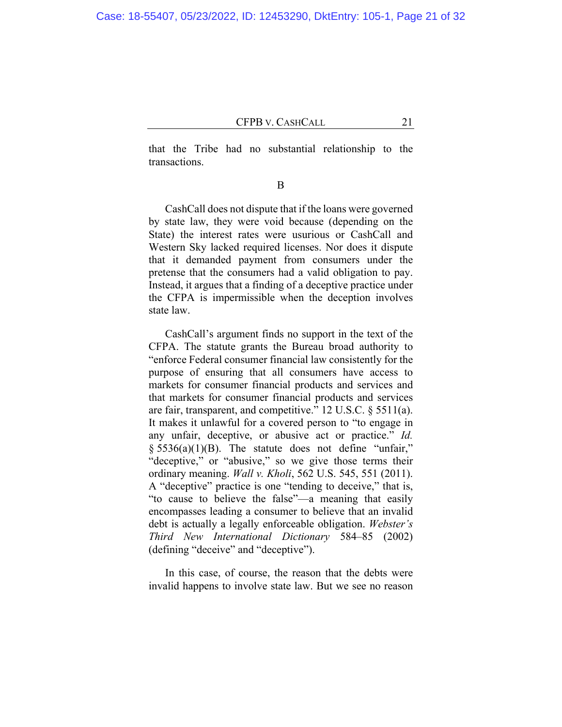that the Tribe had no substantial relationship to the transactions.

B

CashCall does not dispute that if the loans were governed by state law, they were void because (depending on the State) the interest rates were usurious or CashCall and Western Sky lacked required licenses. Nor does it dispute that it demanded payment from consumers under the pretense that the consumers had a valid obligation to pay. Instead, it argues that a finding of a deceptive practice under the CFPA is impermissible when the deception involves state law.

CashCall's argument finds no support in the text of the CFPA. The statute grants the Bureau broad authority to "enforce Federal consumer financial law consistently for the purpose of ensuring that all consumers have access to markets for consumer financial products and services and that markets for consumer financial products and services are fair, transparent, and competitive." 12 U.S.C. § 5511(a). It makes it unlawful for a covered person to "to engage in any unfair, deceptive, or abusive act or practice." *Id.*   $§ 5536(a)(1)(B)$ . The statute does not define "unfair," "deceptive," or "abusive," so we give those terms their ordinary meaning. *Wall v. Kholi*, 562 U.S. 545, 551 (2011). A "deceptive" practice is one "tending to deceive," that is, "to cause to believe the false"—a meaning that easily encompasses leading a consumer to believe that an invalid debt is actually a legally enforceable obligation. *Webster's Third New International Dictionary* 584–85 (2002) (defining "deceive" and "deceptive").

In this case, of course, the reason that the debts were invalid happens to involve state law. But we see no reason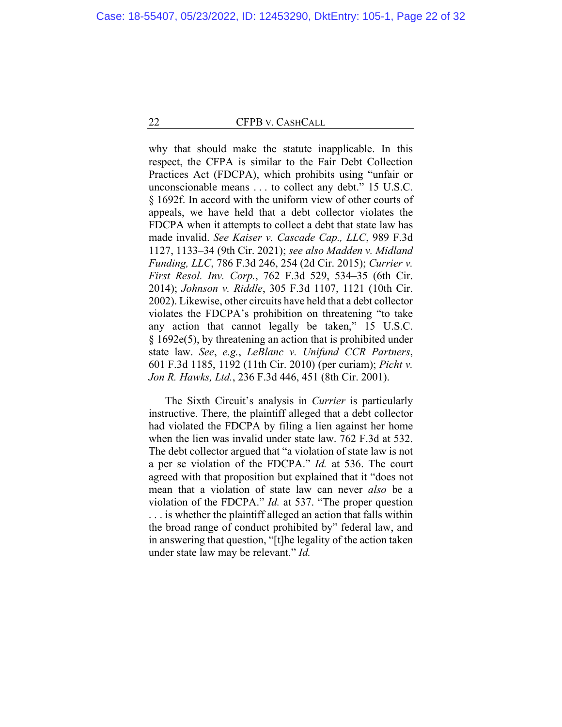why that should make the statute inapplicable. In this respect, the CFPA is similar to the Fair Debt Collection Practices Act (FDCPA), which prohibits using "unfair or unconscionable means . . . to collect any debt." 15 U.S.C. § 1692f. In accord with the uniform view of other courts of appeals, we have held that a debt collector violates the FDCPA when it attempts to collect a debt that state law has made invalid. *See Kaiser v. Cascade Cap., LLC*, 989 F.3d 1127, 1133–34 (9th Cir. 2021); *see also Madden v. Midland Funding, LLC*, 786 F.3d 246, 254 (2d Cir. 2015); *Currier v. First Resol. Inv. Corp.*, 762 F.3d 529, 534–35 (6th Cir. 2014); *Johnson v. Riddle*, 305 F.3d 1107, 1121 (10th Cir. 2002). Likewise, other circuits have held that a debt collector violates the FDCPA's prohibition on threatening "to take any action that cannot legally be taken," 15 U.S.C. § 1692e(5), by threatening an action that is prohibited under state law. *See*, *e.g.*, *LeBlanc v. Unifund CCR Partners*, 601 F.3d 1185, 1192 (11th Cir. 2010) (per curiam); *Picht v. Jon R. Hawks, Ltd.*, 236 F.3d 446, 451 (8th Cir. 2001).

The Sixth Circuit's analysis in *Currier* is particularly instructive. There, the plaintiff alleged that a debt collector had violated the FDCPA by filing a lien against her home when the lien was invalid under state law. 762 F.3d at 532. The debt collector argued that "a violation of state law is not a per se violation of the FDCPA." *Id.* at 536. The court agreed with that proposition but explained that it "does not mean that a violation of state law can never *also* be a violation of the FDCPA." *Id.* at 537. "The proper question . . . is whether the plaintiff alleged an action that falls within the broad range of conduct prohibited by" federal law, and in answering that question, "[t]he legality of the action taken under state law may be relevant." *Id.*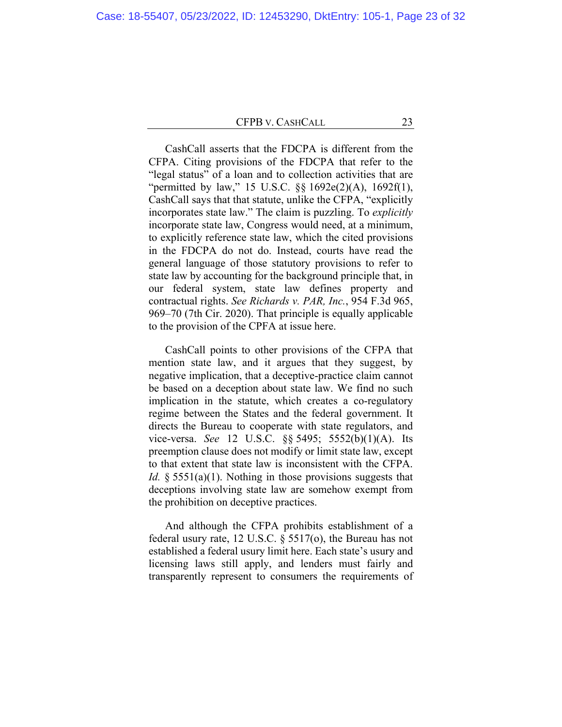CashCall asserts that the FDCPA is different from the CFPA. Citing provisions of the FDCPA that refer to the "legal status" of a loan and to collection activities that are "permitted by law," 15 U.S.C. §§ 1692e(2)(A), 1692f(1), CashCall says that that statute, unlike the CFPA, "explicitly incorporates state law." The claim is puzzling. To *explicitly* incorporate state law, Congress would need, at a minimum, to explicitly reference state law, which the cited provisions in the FDCPA do not do. Instead, courts have read the general language of those statutory provisions to refer to state law by accounting for the background principle that, in our federal system, state law defines property and contractual rights. *See Richards v. PAR, Inc.*, 954 F.3d 965, 969–70 (7th Cir. 2020). That principle is equally applicable to the provision of the CPFA at issue here.

CashCall points to other provisions of the CFPA that mention state law, and it argues that they suggest, by negative implication, that a deceptive-practice claim cannot be based on a deception about state law. We find no such implication in the statute, which creates a co-regulatory regime between the States and the federal government. It directs the Bureau to cooperate with state regulators, and vice-versa. *See* 12 U.S.C. §§ 5495; 5552(b)(1)(A). Its preemption clause does not modify or limit state law, except to that extent that state law is inconsistent with the CFPA. *Id.* § 5551(a)(1). Nothing in those provisions suggests that deceptions involving state law are somehow exempt from the prohibition on deceptive practices.

And although the CFPA prohibits establishment of a federal usury rate, 12 U.S.C. § 5517(o), the Bureau has not established a federal usury limit here. Each state's usury and licensing laws still apply, and lenders must fairly and transparently represent to consumers the requirements of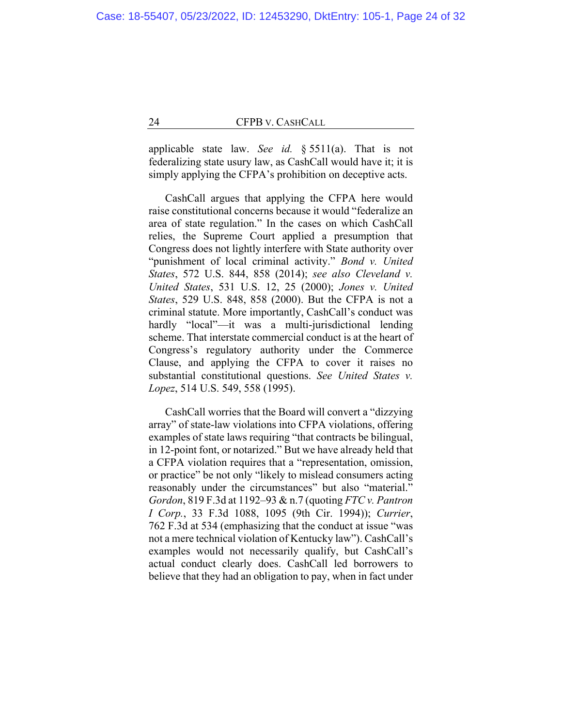applicable state law. *See id.* § 5511(a). That is not federalizing state usury law, as CashCall would have it; it is simply applying the CFPA's prohibition on deceptive acts.

CashCall argues that applying the CFPA here would raise constitutional concerns because it would "federalize an area of state regulation." In the cases on which CashCall relies, the Supreme Court applied a presumption that Congress does not lightly interfere with State authority over "punishment of local criminal activity." *Bond v. United States*, 572 U.S. 844, 858 (2014); *see also Cleveland v. United States*, 531 U.S. 12, 25 (2000); *Jones v. United States*, 529 U.S. 848, 858 (2000). But the CFPA is not a criminal statute. More importantly, CashCall's conduct was hardly "local"—it was a multi-jurisdictional lending scheme. That interstate commercial conduct is at the heart of Congress's regulatory authority under the Commerce Clause, and applying the CFPA to cover it raises no substantial constitutional questions. *See United States v. Lopez*, 514 U.S. 549, 558 (1995).

CashCall worries that the Board will convert a "dizzying array" of state-law violations into CFPA violations, offering examples of state laws requiring "that contracts be bilingual, in 12-point font, or notarized." But we have already held that a CFPA violation requires that a "representation, omission, or practice" be not only "likely to mislead consumers acting reasonably under the circumstances" but also "material." *Gordon*, 819 F.3d at 1192–93 & n.7 (quoting *FTC v. Pantron I Corp.*, 33 F.3d 1088, 1095 (9th Cir. 1994)); *Currier*, 762 F.3d at 534 (emphasizing that the conduct at issue "was not a mere technical violation of Kentucky law"). CashCall's examples would not necessarily qualify, but CashCall's actual conduct clearly does. CashCall led borrowers to believe that they had an obligation to pay, when in fact under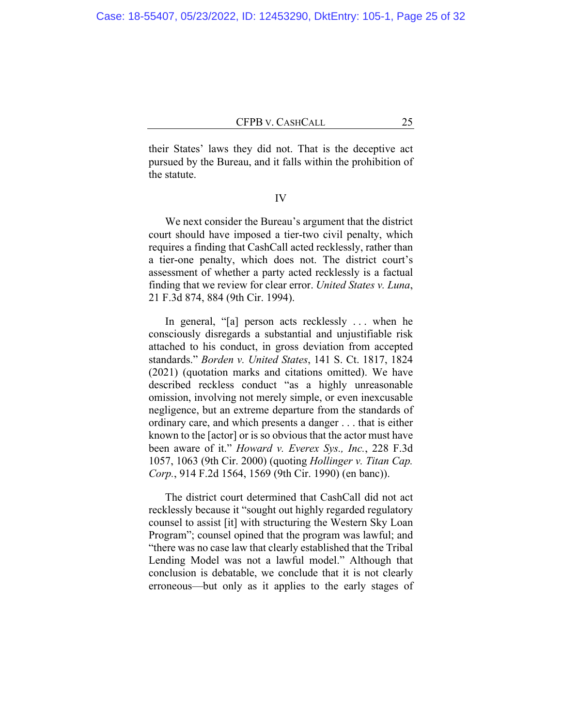their States' laws they did not. That is the deceptive act pursued by the Bureau, and it falls within the prohibition of the statute.

IV

We next consider the Bureau's argument that the district court should have imposed a tier-two civil penalty, which requires a finding that CashCall acted recklessly, rather than a tier-one penalty, which does not. The district court's assessment of whether a party acted recklessly is a factual finding that we review for clear error. *United States v. Luna*, 21 F.3d 874, 884 (9th Cir. 1994).

In general, "[a] person acts recklessly . . . when he consciously disregards a substantial and unjustifiable risk attached to his conduct, in gross deviation from accepted standards." *Borden v. United States*, 141 S. Ct. 1817, 1824 (2021) (quotation marks and citations omitted). We have described reckless conduct "as a highly unreasonable omission, involving not merely simple, or even inexcusable negligence, but an extreme departure from the standards of ordinary care, and which presents a danger . . . that is either known to the [actor] or is so obvious that the actor must have been aware of it." *Howard v. Everex Sys., Inc.*, 228 F.3d 1057, 1063 (9th Cir. 2000) (quoting *Hollinger v. Titan Cap. Corp.*, 914 F.2d 1564, 1569 (9th Cir. 1990) (en banc)).

The district court determined that CashCall did not act recklessly because it "sought out highly regarded regulatory counsel to assist [it] with structuring the Western Sky Loan Program"; counsel opined that the program was lawful; and "there was no case law that clearly established that the Tribal Lending Model was not a lawful model." Although that conclusion is debatable, we conclude that it is not clearly erroneous—but only as it applies to the early stages of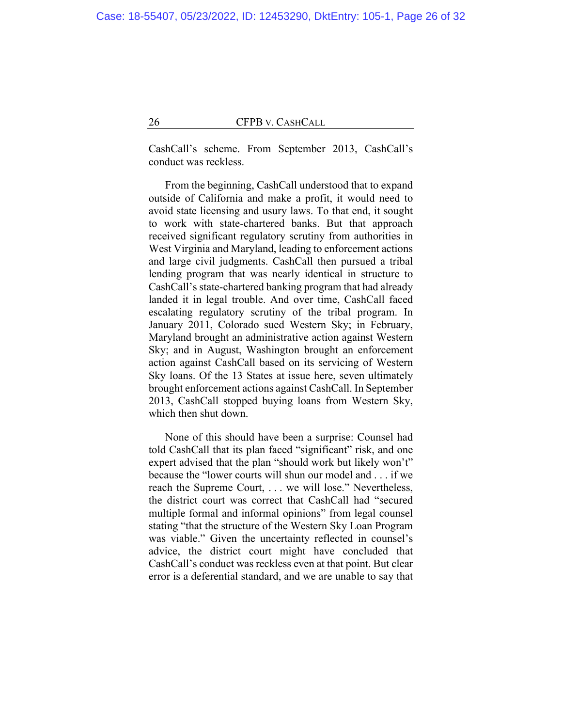CashCall's scheme. From September 2013, CashCall's conduct was reckless.

From the beginning, CashCall understood that to expand outside of California and make a profit, it would need to avoid state licensing and usury laws. To that end, it sought to work with state-chartered banks. But that approach received significant regulatory scrutiny from authorities in West Virginia and Maryland, leading to enforcement actions and large civil judgments. CashCall then pursued a tribal lending program that was nearly identical in structure to CashCall's state-chartered banking program that had already landed it in legal trouble. And over time, CashCall faced escalating regulatory scrutiny of the tribal program. In January 2011, Colorado sued Western Sky; in February, Maryland brought an administrative action against Western Sky; and in August, Washington brought an enforcement action against CashCall based on its servicing of Western Sky loans. Of the 13 States at issue here, seven ultimately brought enforcement actions against CashCall. In September 2013, CashCall stopped buying loans from Western Sky, which then shut down.

None of this should have been a surprise: Counsel had told CashCall that its plan faced "significant" risk, and one expert advised that the plan "should work but likely won't" because the "lower courts will shun our model and . . . if we reach the Supreme Court, . . . we will lose." Nevertheless, the district court was correct that CashCall had "secured multiple formal and informal opinions" from legal counsel stating "that the structure of the Western Sky Loan Program was viable." Given the uncertainty reflected in counsel's advice, the district court might have concluded that CashCall's conduct was reckless even at that point. But clear error is a deferential standard, and we are unable to say that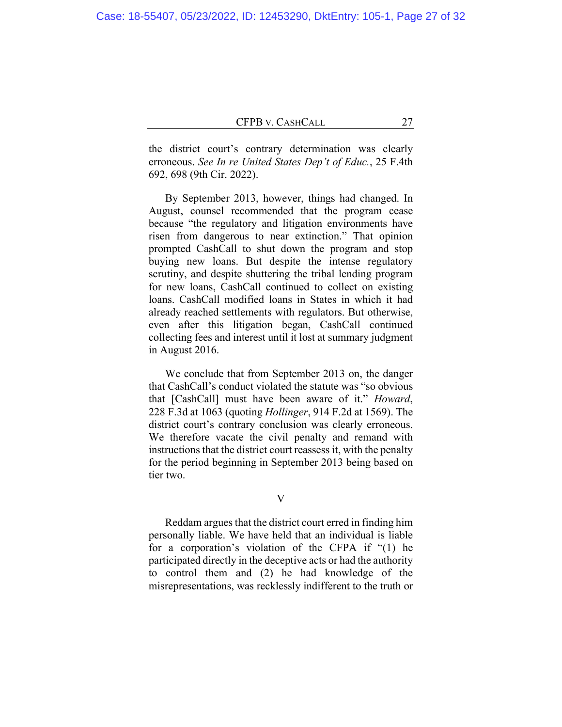the district court's contrary determination was clearly erroneous. *See In re United States Dep't of Educ.*, 25 F.4th 692, 698 (9th Cir. 2022).

By September 2013, however, things had changed. In August, counsel recommended that the program cease because "the regulatory and litigation environments have risen from dangerous to near extinction." That opinion prompted CashCall to shut down the program and stop buying new loans. But despite the intense regulatory scrutiny, and despite shuttering the tribal lending program for new loans, CashCall continued to collect on existing loans. CashCall modified loans in States in which it had already reached settlements with regulators. But otherwise, even after this litigation began, CashCall continued collecting fees and interest until it lost at summary judgment in August 2016.

We conclude that from September 2013 on, the danger that CashCall's conduct violated the statute was "so obvious that [CashCall] must have been aware of it." *Howard*, 228 F.3d at 1063 (quoting *Hollinger*, 914 F.2d at 1569). The district court's contrary conclusion was clearly erroneous. We therefore vacate the civil penalty and remand with instructions that the district court reassess it, with the penalty for the period beginning in September 2013 being based on tier two.

V

Reddam argues that the district court erred in finding him personally liable. We have held that an individual is liable for a corporation's violation of the CFPA if "(1) he participated directly in the deceptive acts or had the authority to control them and (2) he had knowledge of the misrepresentations, was recklessly indifferent to the truth or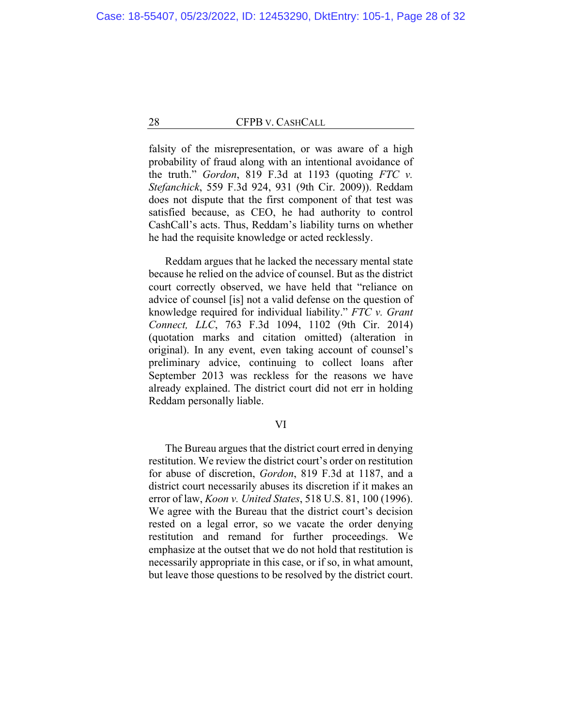falsity of the misrepresentation, or was aware of a high probability of fraud along with an intentional avoidance of the truth." *Gordon*, 819 F.3d at 1193 (quoting *FTC v. Stefanchick*, 559 F.3d 924, 931 (9th Cir. 2009)). Reddam does not dispute that the first component of that test was satisfied because, as CEO, he had authority to control CashCall's acts. Thus, Reddam's liability turns on whether he had the requisite knowledge or acted recklessly.

Reddam argues that he lacked the necessary mental state because he relied on the advice of counsel. But as the district court correctly observed, we have held that "reliance on advice of counsel [is] not a valid defense on the question of knowledge required for individual liability." *FTC v. Grant Connect, LLC*, 763 F.3d 1094, 1102 (9th Cir. 2014) (quotation marks and citation omitted) (alteration in original). In any event, even taking account of counsel's preliminary advice, continuing to collect loans after September 2013 was reckless for the reasons we have already explained. The district court did not err in holding Reddam personally liable.

## VI

The Bureau argues that the district court erred in denying restitution. We review the district court's order on restitution for abuse of discretion, *Gordon*, 819 F.3d at 1187, and a district court necessarily abuses its discretion if it makes an error of law, *Koon v. United States*, 518 U.S. 81, 100 (1996). We agree with the Bureau that the district court's decision rested on a legal error, so we vacate the order denying restitution and remand for further proceedings. We emphasize at the outset that we do not hold that restitution is necessarily appropriate in this case, or if so, in what amount, but leave those questions to be resolved by the district court.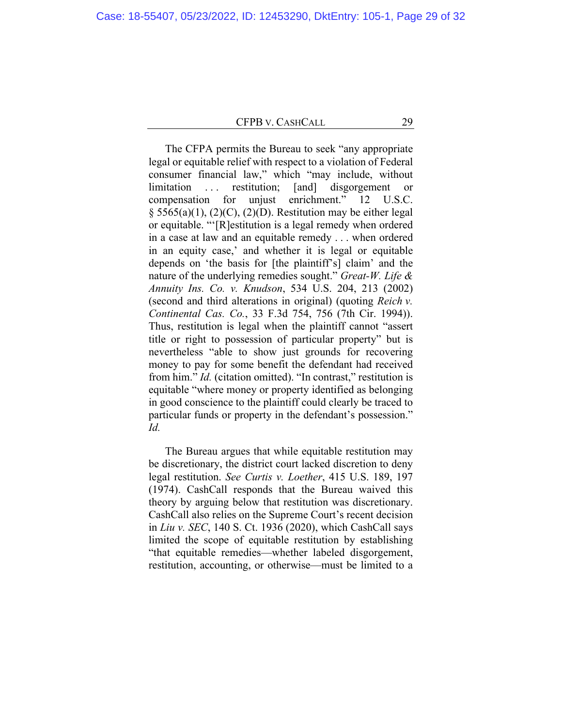The CFPA permits the Bureau to seek "any appropriate legal or equitable relief with respect to a violation of Federal consumer financial law," which "may include, without limitation . . . restitution; [and] disgorgement or compensation for unjust enrichment." 12 U.S.C.  $\S$  5565(a)(1), (2)(C), (2)(D). Restitution may be either legal or equitable. "'[R]estitution is a legal remedy when ordered in a case at law and an equitable remedy . . . when ordered in an equity case,' and whether it is legal or equitable depends on 'the basis for [the plaintiff's] claim' and the nature of the underlying remedies sought." *Great-W. Life & Annuity Ins. Co. v. Knudson*, 534 U.S. 204, 213 (2002) (second and third alterations in original) (quoting *Reich v. Continental Cas. Co.*, 33 F.3d 754, 756 (7th Cir. 1994)). Thus, restitution is legal when the plaintiff cannot "assert title or right to possession of particular property" but is nevertheless "able to show just grounds for recovering money to pay for some benefit the defendant had received from him." *Id.* (citation omitted). "In contrast," restitution is equitable "where money or property identified as belonging in good conscience to the plaintiff could clearly be traced to particular funds or property in the defendant's possession." *Id.*

The Bureau argues that while equitable restitution may be discretionary, the district court lacked discretion to deny legal restitution. *See Curtis v. Loether*, 415 U.S. 189, 197 (1974). CashCall responds that the Bureau waived this theory by arguing below that restitution was discretionary. CashCall also relies on the Supreme Court's recent decision in *Liu v. SEC*, 140 S. Ct. 1936 (2020), which CashCall says limited the scope of equitable restitution by establishing "that equitable remedies—whether labeled disgorgement, restitution, accounting, or otherwise—must be limited to a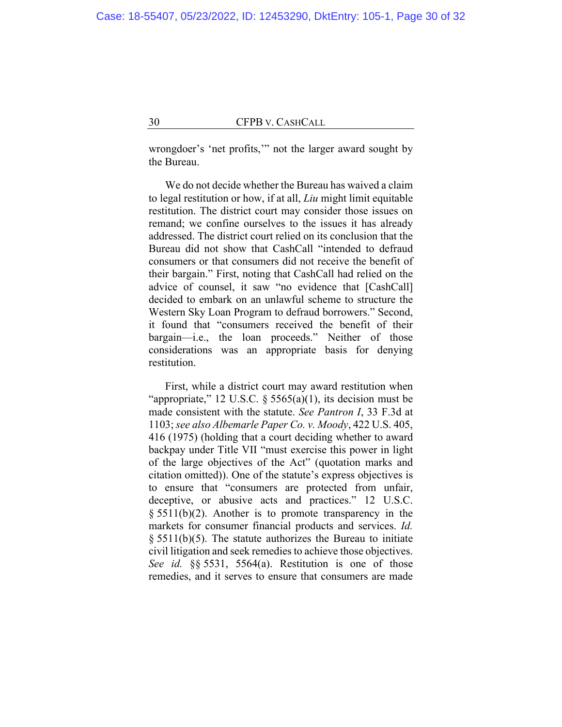wrongdoer's 'net profits,'" not the larger award sought by the Bureau.

We do not decide whether the Bureau has waived a claim to legal restitution or how, if at all, *Liu* might limit equitable restitution. The district court may consider those issues on remand; we confine ourselves to the issues it has already addressed. The district court relied on its conclusion that the Bureau did not show that CashCall "intended to defraud consumers or that consumers did not receive the benefit of their bargain." First, noting that CashCall had relied on the advice of counsel, it saw "no evidence that [CashCall] decided to embark on an unlawful scheme to structure the Western Sky Loan Program to defraud borrowers." Second, it found that "consumers received the benefit of their bargain—i.e., the loan proceeds." Neither of those considerations was an appropriate basis for denying restitution.

First, while a district court may award restitution when "appropriate," 12 U.S.C.  $\S$  5565(a)(1), its decision must be made consistent with the statute. *See Pantron I*, 33 F.3d at 1103; *see also Albemarle Paper Co. v. Moody*, 422 U.S. 405, 416 (1975) (holding that a court deciding whether to award backpay under Title VII "must exercise this power in light of the large objectives of the Act" (quotation marks and citation omitted)). One of the statute's express objectives is to ensure that "consumers are protected from unfair, deceptive, or abusive acts and practices." 12 U.S.C. § 5511(b)(2). Another is to promote transparency in the markets for consumer financial products and services. *Id.*   $§$  5511(b)(5). The statute authorizes the Bureau to initiate civil litigation and seek remedies to achieve those objectives. *See id.* §§ 5531, 5564(a). Restitution is one of those remedies, and it serves to ensure that consumers are made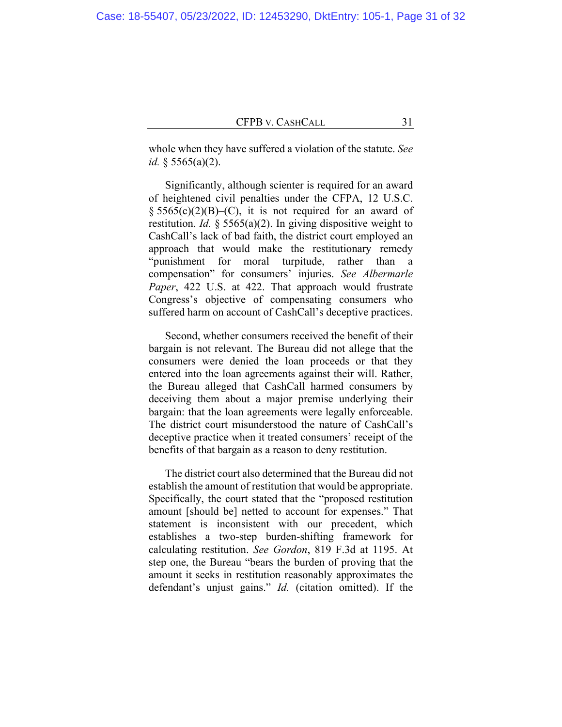whole when they have suffered a violation of the statute. *See id.* § 5565(a)(2).

Significantly, although scienter is required for an award of heightened civil penalties under the CFPA, 12 U.S.C.  $\S 5565(c)(2)(B)$ –(C), it is not required for an award of restitution. *Id.* § 5565(a)(2). In giving dispositive weight to CashCall's lack of bad faith, the district court employed an approach that would make the restitutionary remedy "punishment for moral turpitude, rather than a compensation" for consumers' injuries. *See Albermarle Paper*, 422 U.S. at 422. That approach would frustrate Congress's objective of compensating consumers who suffered harm on account of CashCall's deceptive practices.

Second, whether consumers received the benefit of their bargain is not relevant. The Bureau did not allege that the consumers were denied the loan proceeds or that they entered into the loan agreements against their will. Rather, the Bureau alleged that CashCall harmed consumers by deceiving them about a major premise underlying their bargain: that the loan agreements were legally enforceable. The district court misunderstood the nature of CashCall's deceptive practice when it treated consumers' receipt of the benefits of that bargain as a reason to deny restitution.

The district court also determined that the Bureau did not establish the amount of restitution that would be appropriate. Specifically, the court stated that the "proposed restitution amount [should be] netted to account for expenses." That statement is inconsistent with our precedent, which establishes a two-step burden-shifting framework for calculating restitution. *See Gordon*, 819 F.3d at 1195. At step one, the Bureau "bears the burden of proving that the amount it seeks in restitution reasonably approximates the defendant's unjust gains." *Id.* (citation omitted). If the